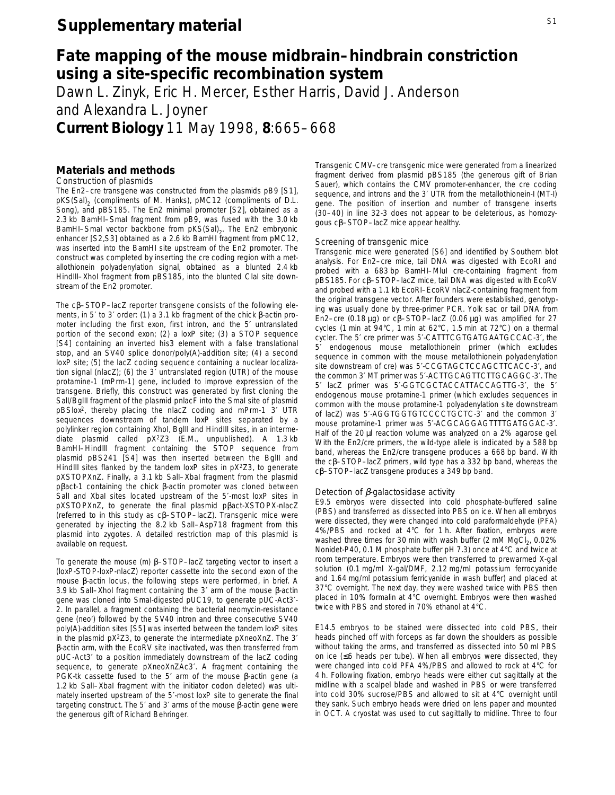# **Fate mapping of the mouse midbrain–hindbrain constriction using a site-specific recombination system**

Dawn L. Zinyk, Eric H. Mercer, Esther Harris, David J. Anderson and Alexandra L. Joyner **Current Biology** 11 May 1998, **8**:665–668

## **Materials and methods**

*Construction of plasmids*

The *En2–cre* transgene was constructed from the plasmids pB9 [S1], pKS(Sal)<sub>2</sub> (compliments of M. Hanks), pMC12 (compliments of D.L. Song), and pBS185. The *En2* minimal promoter [S2], obtained as a 2.3 kb *Bam*HI–*Sma*I fragment from pB9, was fused with the 3.0 kb *BamHI-Smal* vector backbone from pKS(Sal)<sub>2</sub>. The *En2* embryonic enhancer [S2,S3] obtained as a 2.6 kb *Bam*HI fragment from pMC12, was inserted into the *Bam*HI site upstream of the *En2* promoter. The construct was completed by inserting the *cre* coding region with a metallothionein polyadenylation signal, obtained as a blunted 2.4 kb *Hin*dIII–*Xho*I fragment from pBS185, into the blunted *Cla*I site downstream of the *En2* promoter.

The cβ–STOP–*lacZ* reporter transgene consists of the following elements, in 5′ to 3′ order: (1) a 3.1 kb fragment of the chick β-actin promoter including the first exon, first intron, and the 5′ untranslated portion of the second exon; (2) a *loxP* site; (3) a STOP sequence [S4] containing an inverted *his3* element with a false translational stop, and an SV40 splice donor/poly(A)-addition site; (4) a second *loxP* site; (5) the *lacZ* coding sequence containing a nuclear localization signal (*nlacZ*); (6) the 3′ untranslated region (UTR) of the mouse protamine-1 (*mPrm-1*) gene, included to improve expression of the transgene. Briefly, this construct was generated by first cloning the *Sa*lI/*Bgl*II fragment of the plasmid pnlacF into the *Sma*I site of plasmid pBSlox2, thereby placing the *nlacZ* coding and *mPrm-1* 3′ UTR sequences downstream of tandem *loxP* sites separated by a polylinker region containing *Xho*I, *Bgl*II and *Hin*dIII sites, in an intermediate plasmid called pX2Z3 (E.M., unpublished). A 1.3 kb *Bam*HI–*Hin*dIII fragment containing the STOP sequence from plasmid pBS241 [S4] was then inserted between the *Bgl*II and *Hin*dIII sites flanked by the tandem *loxP* sites in pX2Z3, to generate pXSTOPXnZ. Finally, a 3.1 kb Sall-Xbal fragment from the plasmid pβact-1 containing the chick β-actin promoter was cloned between *Sal*I and *Xba*I sites located upstream of the 5′-most *loxP* sites in pXSTOPXnZ, to generate the final plasmid pβact-XSTOPX-*nlacZ* (referred to in this study as cβ–STOP–*lacZ*). Transgenic mice were generated by injecting the 8.2 kb Sall-Asp718 fragment from this plasmid into zygotes. A detailed restriction map of this plasmid is available on request.

To generate the mouse (m) β–STOP–*lacZ* targeting vector to insert a (*loxP*-STOP-*loxP*-*nlacZ*) reporter cassette into the second exon of the mouse β-actin locus, the following steps were performed, in brief. A 3.9 kb *Sall-Xho*I fragment containing the 3' arm of the mouse β-actin gene was cloned into *Sma*I-digested pUC19, to generate pUC-Act3′- 2. In parallel, a fragment containing the bacterial neomycin-resistance gene (neor ) followed by the SV40 intron and three consecutive SV40 poly(A)-addition sites [S5] was inserted between the tandem *loxP* sites in the plasmid pX2Z3, to generate the intermediate pXneoXnZ. The 3′ β-actin arm, with the *Eco*RV site inactivated, was then transferred from pUC-Act3′ to a position immediately downstream of the *lacZ* coding sequence, to generate pXneoXnZAc3′. A fragment containing the PGK-tk cassette fused to the 5′ arm of the mouse β-actin gene (a 1.2 kb *Sall-Xbal* fragment with the initiator codon deleted) was ultimately inserted upstream of the 5′-most *loxP* site to generate the final targeting construct. The 5′ and 3′ arms of the mouse β-actin gene were the generous gift of Richard Behringer.

Transgenic CMV–*cre* transgenic mice were generated from a linearized fragment derived from plasmid pBS185 (the generous gift of Brian Sauer), which contains the CMV promoter-enhancer, the *cre* coding sequence, and introns and the 3' UTR from the metallothionein-I (MT-I) gene. The position of insertion and number of transgene inserts (30–40) in line 32-3 does not appear to be deleterious, as homozygous cβ–STOP–*lacZ* mice appear healthy.

#### *Screening of transgenic mice*

Transgenic mice were generated [S6] and identified by Southern blot analysis. For *En2–cre* mice, tail DNA was digested with *Eco*RI and probed with a 683 bp *Bam*HI–*Mlu*I *cre*-containing fragment from pBS185. For cβ–STOP–*lacZ* mice, tail DNA was digested with *Eco*RV and probed with a 1.1 kb *Eco*RI–*Eco*RV *nlacZ*-containing fragment from the original transgene vector. After founders were established, genotyping was usually done by three-primer PCR. Yolk sac or tail DNA from *En2–cre* (0.18 µg) or cβ–STOP–*lacZ* (0.06 µg) was amplified for 27 cycles (1 min at 94°C, 1 min at 62°C, 1.5 min at 72°C) on a thermal cycler. The 5′ *cre* primer was 5′-CATTTCGTGATGAATGCCAC-3′, the 5′ endogenous mouse metallothionein primer (which excludes sequence in common with the mouse metallothionein polyadenylation site downstream of *cre*) was 5′-CCGTAGCTCCAGCTTCACC-3′, and the common 3′ MT primer was 5′-ACTTGCAGTTCTTGCAGGC-3′. The 5′ *lacZ* primer was 5′-GGTCGCTACCATTACCAGTTG-3′, the 5′ endogenous mouse protamine-1 primer (which excludes sequences in common with the mouse protamine-1 polyadenylation site downstream of *lacZ*) was 5′-AGGTGGTGTCCCCTGCTC-3′ and the common 3′ mouse protamine-1 primer was 5′-ACGCAGGAGTTTTGATGGAC-3′. Half of the 20 µl reaction volume was analyzed on a 2% agarose gel. With the *En2/cre* primers, the wild-type allele is indicated by a 588 bp band, whereas the *En2/cre* transgene produces a 668 bp band. With the cβ–STOP–*lacZ* primers, wild type has a 332 bp band, whereas the cβ–STOP–*lacZ* transgene produces a 349 bp band.

#### *Detection of* β*-galactosidase activity*

E9.5 embryos were dissected into cold phosphate-buffered saline (PBS) and transferred as dissected into PBS on ice. When all embryos were dissected, they were changed into cold paraformaldehyde (PFA) 4%/PBS and rocked at 4°C for 1 h. After fixation, embryos were washed three times for 30 min with wash buffer (2 mM MgCl<sub>2</sub>, 0.02%) Nonidet-P40, 0.1 M phosphate buffer pH 7.3) once at 4°C and twice at room temperature. Embryos were then transferred to prewarmed X-gal solution (0.1 mg/ml X-gal/DMF, 2.12 mg/ml potassium ferrocyanide and 1.64 mg/ml potassium ferricyanide in wash buffer) and placed at 37°C overnight. The next day, they were washed twice with PBS then placed in 10% formalin at 4°C overnight. Embryos were then washed twice with PBS and stored in 70% ethanol at 4°C.

E14.5 embryos to be stained were dissected into cold PBS, their heads pinched off with forceps as far down the shoulders as possible without taking the arms, and transferred as dissected into 50 ml PBS on ice (≤6 heads per tube). When all embryos were dissected, they were changed into cold PFA 4%/PBS and allowed to rock at 4°C for 4 h. Following fixation, embryo heads were either cut sagittally at the midline with a scalpel blade and washed in PBS or were transferred into cold 30% sucrose/PBS and allowed to sit at 4°C overnight until they sank. Such embryo heads were dried on lens paper and mounted in OCT. A cryostat was used to cut sagittally to midline. Three to four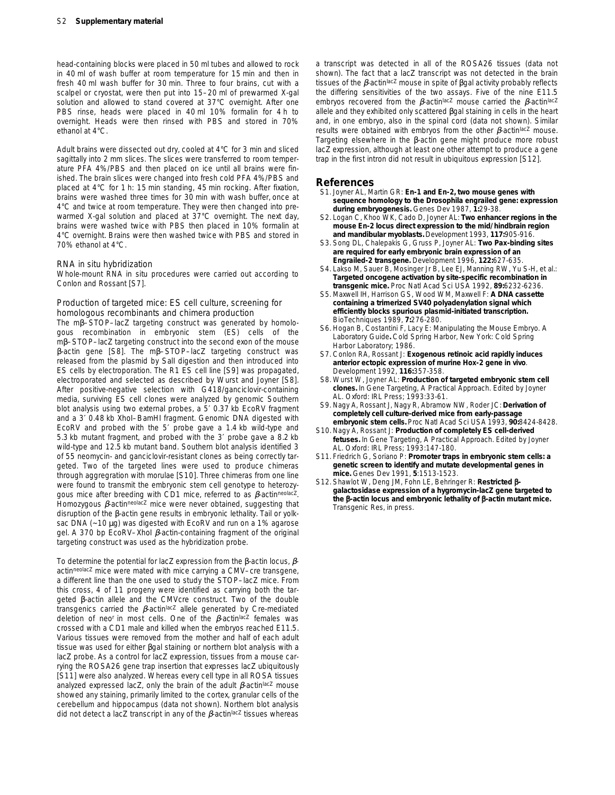head-containing blocks were placed in 50 ml tubes and allowed to rock in 40 ml of wash buffer at room temperature for 15 min and then in fresh 40 ml wash buffer for 30 min. Three to four brains, cut with a scalpel or cryostat, were then put into 15–20 ml of prewarmed X-gal solution and allowed to stand covered at 37°C overnight. After one PBS rinse, heads were placed in 40 ml 10% formalin for 4 h to overnight. Heads were then rinsed with PBS and stored in 70% ethanol at 4°C.

Adult brains were dissected out dry, cooled at 4°C for 3 min and sliced sagittally into 2 mm slices. The slices were transferred to room temperature PFA 4%/PBS and then placed on ice until all brains were finished. The brain slices were changed into fresh cold PFA 4%/PBS and placed at 4°C for 1 h: 15 min standing, 45 min rocking. After fixation, brains were washed three times for 30 min with wash buffer, once at 4°C and twice at room temperature. They were then changed into prewarmed X-gal solution and placed at 37°C overnight. The next day, brains were washed twice with PBS then placed in 10% formalin at 4°C overnight. Brains were then washed twice with PBS and stored in 70% ethanol at 4°C.

#### *RNA* in situ *hybridization*

Whole-mount RNA *in situ* procedures were carried out according to Conlon and Rossant [S7].

#### *Production of targeted mice: ES cell culture, screening for homologous recombinants and chimera production*

The mβ–STOP–*lacZ* targeting construct was generated by homologous recombination in embryonic stem (ES) cells of the mβ–STOP–*lacZ* targeting construct into the second exon of the mouse β-actin gene [S8]. The mβ–STOP–*lacZ* targeting construct was released from the plasmid by *Sal*I digestion and then introduced into ES cells by electroporation. The R1 ES cell line [S9] was propagated, electroporated and selected as described by Wurst and Joyner [S8]. After positive-negative selection with G418/ganciclovir-containing media, surviving ES cell clones were analyzed by genomic Southern blot analysis using two external probes, a 5′ 0.37 kb *Eco*RV fragment and a 3′ 0.48 kb *Xho*I–*Bam*HI fragment. Genomic DNA digested with *Eco*RV and probed with the 5′ probe gave a 1.4 kb wild-type and 5.3 kb mutant fragment, and probed with the 3′ probe gave a 8.2 kb wild-type and 12.5 kb mutant band. Southern blot analysis identified 3 of 55 neomycin- and ganciclovir-resistant clones as being correctly targeted. Two of the targeted lines were used to produce chimeras through aggregration with morulae [S10]. Three chimeras from one line were found to transmit the embryonic stem cell genotype to heterozygous mice after breeding with CD1 mice, referred to as β*-actinneolacZ*. Homozygous β*-actinneolacZ* mice were never obtained, suggesting that disruption of the β-actin gene results in embryonic lethality. Tail or yolksac DNA (~10 µg) was digested with *Eco*RV and run on a 1% agarose gel. A 370 bp *Eco*RV–*Xho*I β*-actin*-containing fragment of the original targeting construct was used as the hybridization probe.

To determine the potential for *lacZ* expression from the β-actin locus, β*actinneolacZ* mice were mated with mice carrying a CMV–*cre* transgene, a different line than the one used to study the STOP–lacZ mice. From this cross, 4 of 11 progeny were identified as carrying both the targeted β-actin allele and the CMV*cre* construct. Two of the double transgenics carried the β*-actinlacZ* allele generated by Cre-mediated deletion of *neor* in most cells. One of the β*-actinlacZ* females was crossed with a CD1 male and killed when the embryos reached E11.5. Various tissues were removed from the mother and half of each adult tissue was used for either βgal staining or northern blot analysis with a *lacZ* probe. As a control for *lacZ* expression, tissues from a mouse carrying the ROSA26 gene trap insertion that expresses *lacZ* ubiquitously [S11] were also analyzed. Whereas every cell type in all ROSA tissues analyzed expressed *lacZ*, only the brain of the adult β*-actinlacZ* mouse showed any staining, primarily limited to the cortex, granular cells of the cerebellum and hippocampus (data not shown). Northern blot analysis did not detect a *lacZ* transcript in any of the β*-actinlacZ* tissues whereas a transcript was detected in all of the ROSA26 tissues (data not shown). The fact that a *lacZ* transcript was not detected in the brain tissues of the β*-actinlacZ* mouse in spite of βgal activity probably reflects the differing sensitivities of the two assays. Five of the nine E11.5 embryos recovered from the β*-actinlacZ* mouse carried the β*-actinlacZ* allele and they exhibited only scattered βgal staining in cells in the heart and, in one embryo, also in the spinal cord (data not shown). Similar results were obtained with embryos from the other β*-actinlacZ* mouse. Targeting elsewhere in the β-actin gene might produce more robust *lacZ* expression, although at least one other attempt to produce a gene trap in the first intron did not result in ubiquitous expression [S12].

#### **References**

- S1. Joyner AL, Martin GR: *En-1* **and** *En-2***, two mouse genes with sequence homology to the** *Drosophila engrailed* **gene: expression during embryogenesis.** *Genes Dev* 1987, **1:**29-38.
- S2. Logan C, Khoo WK, Cado D, Joyner AL: **Two enhancer regions in the mouse** *En-2* **locus direct expression to the mid/hindbrain region and mandibular myoblasts.** *Development* 1993, **117:**905-916.
- S3. Song DL, Chalepakis G, Gruss P, Joyner AL: **Two** *Pax***-binding sites are required for early embryonic brain expression of an** *Engrailed-2* **transgene.** *Development* 1996, **122:**627-635.
- S4. Lakso M, Sauer B, Mosinger Jr B, Lee EJ, Manning RW, Yu S-H, *et al*.: **Targeted oncogene activation by site-specific recombination in transgenic mice.** *Proc Natl Acad Sci USA* 1992, **89:**6232-6236.
- S5. Maxwell IH, Harrison GS, Wood WM, Maxwell F: **A DNA cassette containing a trimerized SV40 polyadenylation signal which efficiently blocks spurious plasmid-initiated transcription.** *BioTechniques* 1989, **7:**276-280.
- S6. Hogan B, Costantini F, Lacy E: *Manipulating the Mouse Embryo. A Laboratory Guide***.** Cold Spring Harbor, New York: Cold Spring Harbor Laboratory; 1986.
- S7. Conlon RA, Rossant J: **Exogenous retinoic acid rapidly induces anterior ectopic expression of murine** *Hox-2* **gene** *in vivo*. *Development* 1992, **116:**357-358.
- S8. Wurst W, Joyner AL: **Production of targeted embryonic stem cell clones.** In *Gene Targeting, A Practical Approach.* Edited by Joyner AL. Oxford: IRL Press; 1993:33-61.
- S9. Nagy A, Rossant J, Nagy R, Abramow NW, Roder JC: **Derivation of completely cell culture-derived mice from early-passage embryonic stem cells.** *Proc Natl Acad Sci USA* 1993, **90:**8424-8428.
- S10. Nagy A, Rossant J: **Production of completely ES cell-derived fetuses.** In *Gene Targeting, A Practical Approach*. Edited by Joyner AL. Oxford: IRL Press; 1993:147-180.
- S11. Friedrich G, Soriano P: **Promoter traps in embryonic stem cells: a genetic screen to identify and mutate developmental genes in mice.** *Genes Dev* 1991, **5**:1513-1523.
- S12. Shawlot W, Deng JM, Fohn LE, Behringer R: **Restricted** b**galactosidase expression of a hygromycin-lacZ gene targeted to the** b**-actin locus and embryonic lethality of** b**-actin mutant mice.** *Transgenic Res*, in press.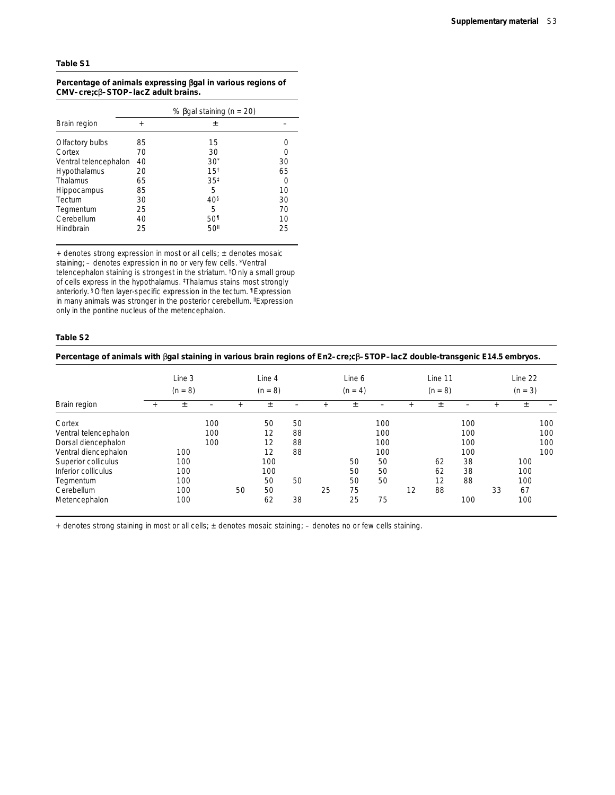### **Table S1**

#### Percentage of animals expressing  $\beta$ gal in various regions of **CMV–***cre***;c**β**–STOP–***lacZ* **adult brains.**

|                       | % $\beta$ gal staining ( <i>n</i> = 20) |                  |                  |  |  |  |  |
|-----------------------|-----------------------------------------|------------------|------------------|--|--|--|--|
| Brain region          | $+$                                     | 土                |                  |  |  |  |  |
| Olfactory bulbs       | 85                                      | 15               |                  |  |  |  |  |
| Cortex                | 70                                      | 30               |                  |  |  |  |  |
| Ventral telencephalon | 40                                      | $30^*$           | 30               |  |  |  |  |
| Hypothalamus          | 20                                      | 15 <sup>†</sup>  | 65               |  |  |  |  |
| Thalamus              | 65                                      | $35^{\ddagger}$  | $\left( \right)$ |  |  |  |  |
| <b>Hippocampus</b>    | 85                                      | 5                | 10               |  |  |  |  |
| Tectum                | 30                                      | 40 <sup>§</sup>  | 30               |  |  |  |  |
| Tegmentum             | 25                                      | 5                | 70               |  |  |  |  |
| Cerebellum            | 40                                      | 50 <sup>1</sup>  | 10               |  |  |  |  |
| Hindbrain             | 25                                      | 50 <sup>II</sup> | 25               |  |  |  |  |

+ denotes strong expression in most or all cells; ± denotes mosaic staining; – denotes expression in no or very few cells. \*Ventral telencephalon staining is strongest in the striatum. †Only a small group of cells express in the hypothalamus. ‡Thalamus stains most strongly anteriorly. §Often layer-specific expression in the tectum. ¶Expression in many animals was stronger in the posterior cerebellum. <sup>II</sup>Expression only in the pontine nucleus of the metencephalon.

#### **Table S2**

| Percentage of animals with $\beta$ gal staining in various brain regions of $En2-cre; c\beta$ -STOP-lacZ double-transgenic E14.5 embryos. |           |        |           |    |           |    |     |           |     |    |         |     |     |         |     |
|-------------------------------------------------------------------------------------------------------------------------------------------|-----------|--------|-----------|----|-----------|----|-----|-----------|-----|----|---------|-----|-----|---------|-----|
|                                                                                                                                           |           | Line 3 |           |    | Line 4    |    |     | Line 6    |     |    | Line 11 |     |     | Line 22 |     |
| Brain region                                                                                                                              | $(n = 8)$ |        | $(n = 8)$ |    | $(n = 4)$ |    |     | $(n = 8)$ |     |    | $(n=3)$ |     |     |         |     |
|                                                                                                                                           |           | 土      |           |    | Ŧ         |    | $+$ | 土         |     |    | 土       |     | $+$ | 土       |     |
| Cortex                                                                                                                                    |           |        | 100       |    | 50        | 50 |     |           | 100 |    |         | 100 |     |         | 100 |
| Ventral telencephalon                                                                                                                     |           |        | 100       |    | 12        | 88 |     |           | 100 |    |         | 100 |     |         | 100 |
| Dorsal diencephalon                                                                                                                       |           |        | 100       |    | 12        | 88 |     |           | 100 |    |         | 100 |     |         | 100 |
| Ventral diencephalon                                                                                                                      |           | 100    |           |    | 12        | 88 |     |           | 100 |    |         | 100 |     |         | 100 |
| Superior colliculus                                                                                                                       |           | 100    |           |    | 100       |    |     | 50        | 50  |    | 62      | 38  |     | 100     |     |
| Inferior colliculus                                                                                                                       |           | 100    |           |    | 100       |    |     | 50        | 50  |    | 62      | 38  |     | 100     |     |
| Tegmentum                                                                                                                                 |           | 100    |           |    | 50        | 50 |     | 50        | 50  |    | 12      | 88  |     | 100     |     |
| Cerebellum                                                                                                                                |           | 100    |           | 50 | 50        |    | 25  | 75        |     | 12 | 88      |     | 33  | 67      |     |
| Metencephalon                                                                                                                             |           | 100    |           |    | 62        | 38 |     | 25        | 75  |    |         | 100 |     | 100     |     |

+ denotes strong staining in most or all cells; ± denotes mosaic staining; – denotes no or few cells staining.